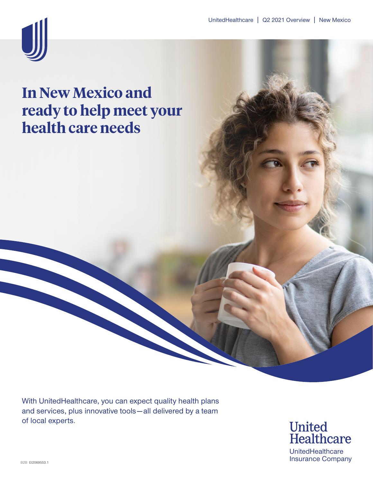

### **In New Mexico and ready to help meet your health care needs**

With UnitedHealthcare, you can expect quality health plans and services, plus innovative tools—all delivered by a team of local experts.

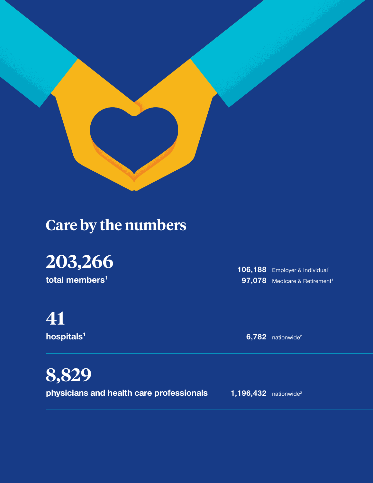

## **Care by the numbers**

# **203,266**

**total members1**

**41**

**hospitals1**

106,188 Employer & Individual<sup>1</sup> 97,078 Medicare & Retirement<sup>1</sup>

**6,782** nationwide2

**8,829 physicians and health care professionals**

**1,196,432** nationwide2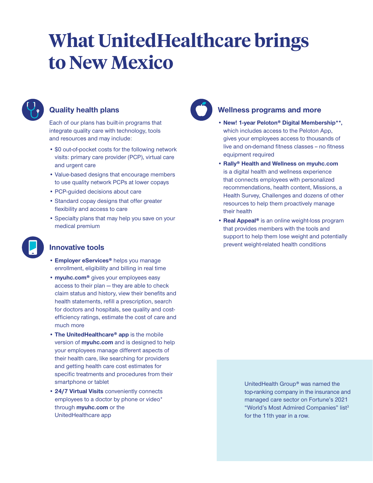# **What UnitedHealthcare brings to New Mexico**



#### **Quality health plans**

Each of our plans has built-in programs that integrate quality care with technology, tools and resources and may include:

- \$0 out-of-pocket costs for the following network visits: primary care provider (PCP), virtual care and urgent care
- Value-based designs that encourage members to use quality network PCPs at lower copays
- PCP-guided decisions about care
- Standard copay designs that offer greater flexibility and access to care
- Specialty plans that may help you save on your medical premium



#### **Innovative tools**

- **Employer eServices®** helps you manage enrollment, eligibility and billing in real time
- **myuhc.com®** gives your employees easy access to their plan — they are able to check claim status and history, view their benefits and health statements, refill a prescription, search for doctors and hospitals, see quality and costefficiency ratings, estimate the cost of care and much more
- **The UnitedHealthcare® app** is the mobile version of **myuhc.com** and is designed to help your employees manage different aspects of their health care, like searching for providers and getting health care cost estimates for specific treatments and procedures from their smartphone or tablet
- **24/7 Virtual Visits** conveniently connects employees to a doctor by phone or video\* through **myuhc.com** or the UnitedHealthcare app



#### **Wellness programs and more**

- **New! 1-year Peloton® Digital Membership\*\*,** which includes access to the Peloton App, gives your employees access to thousands of live and on-demand fitness classes - no fitness equipment required
- **Rally® Health and Wellness on myuhc.com** is a digital health and wellness experience that connects employees with personalized recommendations, health content, Missions, a Health Survey, Challenges and dozens of other resources to help them proactively manage their health
- **Real Appeal®** is an online weight-loss program that provides members with the tools and support to help them lose weight and potentially prevent weight-related health conditions

UnitedHealth Group® was named the top-ranking company in the insurance and managed care sector on Fortune's 2021 "World's Most Admired Companies" list<sup>3</sup> for the 11th year in a row.